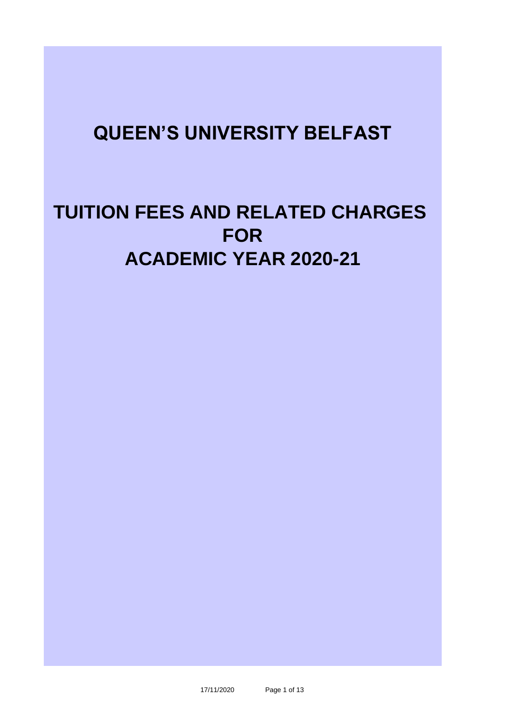## **QUEEN'S UNIVERSITY BELFAST**

# **TUITION FEES AND RELATED CHARGES FOR ACADEMIC YEAR 2020-21**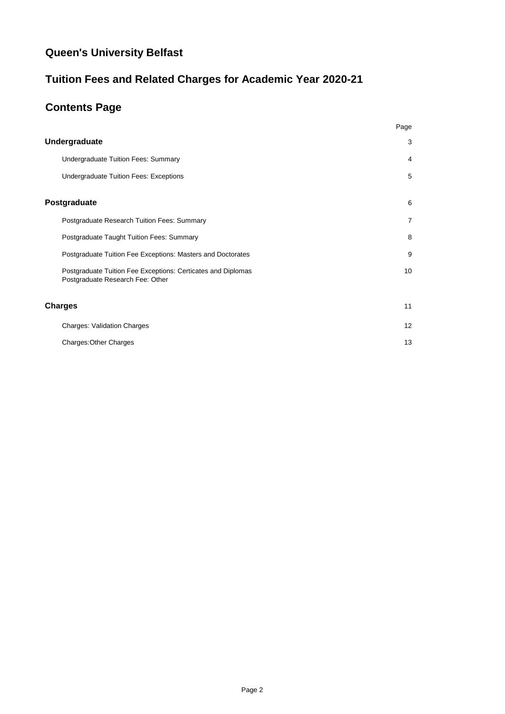### **Queen's University Belfast**

### **Tuition Fees and Related Charges for Academic Year 2020-21**

### **Contents Page**

|                                                                                                  | Page           |
|--------------------------------------------------------------------------------------------------|----------------|
| <b>Undergraduate</b>                                                                             | 3              |
| <b>Undergraduate Tuition Fees: Summary</b>                                                       | 4              |
| <b>Undergraduate Tuition Fees: Exceptions</b>                                                    | 5              |
| Postgraduate                                                                                     | 6              |
| Postgraduate Research Tuition Fees: Summary                                                      | $\overline{7}$ |
| Postgraduate Taught Tuition Fees: Summary                                                        | 8              |
| Postgraduate Tuition Fee Exceptions: Masters and Doctorates                                      | 9              |
| Postgraduate Tuition Fee Exceptions: Certicates and Diplomas<br>Postgraduate Research Fee: Other | 10             |
| Charges                                                                                          | 11             |
| <b>Charges: Validation Charges</b>                                                               | 12             |
| <b>Charges: Other Charges</b>                                                                    | 13             |
|                                                                                                  |                |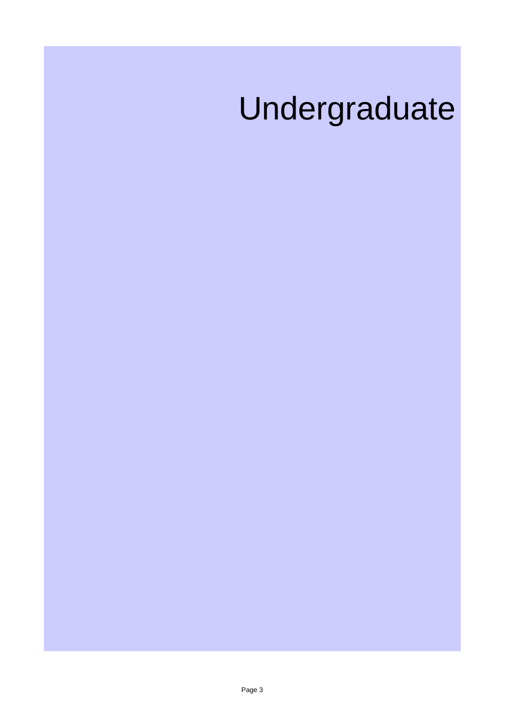# Undergraduate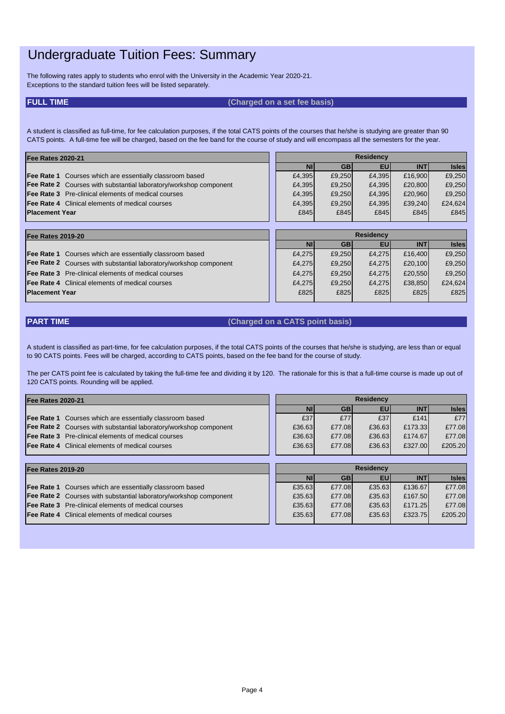### Undergraduate Tuition Fees: Summary

The following rates apply to students who enrol with the University in the Academic Year 2020-21. Exceptions to the standard tuition fees will be listed separately.

### **FULL TIME (Charged on a set fee basis)**

A student is classified as full-time, for fee calculation purposes, if the total CATS points of the courses that he/she is studying are greater than 90 CATS points. A full-time fee will be charged, based on the fee band for the course of study and will encompass all the semesters for the year.

| <b>Fee Rates 2020-21</b>                                                 |                  | <b>Residency</b> |              |        |              |              |
|--------------------------------------------------------------------------|------------------|------------------|--------------|--------|--------------|--------------|
|                                                                          |                  | ΝI               | <b>GB</b>    | EU     | <b>INT</b>   | <b>Isles</b> |
| <b>Fee Rate 1</b> Courses which are essentially classroom based          |                  | £4,395           | £9,250       | £4,395 | £16,900      | £9,250       |
| <b>Fee Rate 2</b> Courses with substantial laboratory/workshop component |                  | £4,395           | £9,250       | £4,395 | £20,800      | £9,250       |
| <b>Fee Rate 3</b> Pre-clinical elements of medical courses               |                  | £4,395           | £9,250       | £4,395 | £20,960      | £9,250       |
| <b>Fee Rate 4</b> Clinical elements of medical courses                   |                  | £4,395           | £9,250       | £4,395 | £39,240      | £24,624      |
| <b>Placement Year</b>                                                    |                  |                  | £845<br>£845 | £845   | £845         | £845         |
|                                                                          |                  |                  |              |        |              |              |
| <b>Fee Rates 2019-20</b>                                                 | <b>Residency</b> |                  |              |        |              |              |
|                                                                          |                  | <b>AIL</b>       | $\bigcap$    | cul.   | <b>INIT!</b> | <b>Inlan</b> |

|                                                                   |  | ΝI     | <b>GB</b> | EU     | <b>INT</b> | <b>Isles</b> |
|-------------------------------------------------------------------|--|--------|-----------|--------|------------|--------------|
| <b>Fee Rate 1</b> Courses which are essentially classroom based   |  | £4,275 | £9,250    | £4,275 | £16,400    | £9,250       |
| Fee Rate 2 Courses with substantial laboratory/workshop component |  | £4,275 | £9,250    | £4,275 | £20,100    | £9,250       |
| <b>Fee Rate 3</b> Pre-clinical elements of medical courses        |  | £4,275 | £9,250    | £4,275 | £20,550    | £9,250       |
| <b>Fee Rate 4</b> Clinical elements of medical courses            |  | £4,275 | £9,250    | £4,275 | £38,850    | £24,624      |
| <b>Placement Year</b>                                             |  | £825   | £825      | £825   | £825       | £825         |
|                                                                   |  |        |           |        |            |              |

### **PART TIME (Charged on a CATS point basis)**

A student is classified as part-time, for fee calculation purposes, if the total CATS points of the courses that he/she is studying, are less than or equal to 90 CATS points. Fees will be charged, according to CATS points, based on the fee band for the course of study.

The per CATS point fee is calculated by taking the full-time fee and dividing it by 120. The rationale for this is that a full-time course is made up out of 120 CATS points. Rounding will be applied.

| <b>Fee Rates 2020-21</b>                                                 | <b>Residency</b> |           |           |           |            |              |
|--------------------------------------------------------------------------|------------------|-----------|-----------|-----------|------------|--------------|
|                                                                          |                  | <b>NI</b> | <b>GB</b> | EU        | <b>INT</b> | <b>Isles</b> |
| <b>Fee Rate 1</b><br>Courses which are essentially classroom based       |                  | £37       | £77       | £37       | £141       | £77          |
| <b>Fee Rate 2</b> Courses with substantial laboratory/workshop component |                  | £36.63    | £77.08    | £36.63    | £173.33    | £77.08       |
| Pre-clinical elements of medical courses<br><b>Fee Rate 3</b>            |                  | £36.63    | £77.08    | £36.63    | £174.67    | £77.08       |
| <b>Fee Rate 4</b> Clinical elements of medical courses                   |                  | £36.63    | £77.08    | £36.63    | £327.00    | £205.20      |
|                                                                          |                  |           |           |           |            |              |
| <b>Fee Rates 2019-20</b>                                                 | <b>Residency</b> |           |           |           |            |              |
|                                                                          |                  | <b>NI</b> | <b>GB</b> | <b>EU</b> | <b>INT</b> | <b>Isles</b> |
| <b>Fee Rate 1</b><br>Courses which are essentially classroom based       |                  | £35.63    | £77.08    | £35.63    | £136.67    | £77.08       |
|                                                                          |                  |           |           |           |            |              |
| <b>Fee Rate 2</b> Courses with substantial laboratory/workshop component |                  | £35.63    | £77.08    | £35.63    | £167.50    | £77.08       |
| Pre-clinical elements of medical courses<br><b>Fee Rate 3</b>            |                  | £35.63    | £77.08    | £35.63    | £171.25    | £77.08       |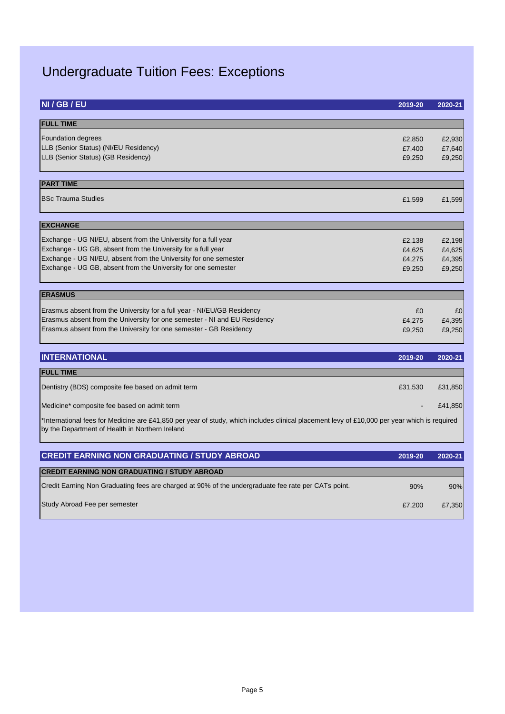## Undergraduate Tuition Fees: Exceptions

| NI / GB / EU                                                                                                                                                                                                                                                         | 2019-20                              | 2020-21                              |
|----------------------------------------------------------------------------------------------------------------------------------------------------------------------------------------------------------------------------------------------------------------------|--------------------------------------|--------------------------------------|
| <b>FULL TIME</b>                                                                                                                                                                                                                                                     |                                      |                                      |
| <b>Foundation degrees</b><br>LLB (Senior Status) (NI/EU Residency)<br>LLB (Senior Status) (GB Residency)                                                                                                                                                             | £2,850<br>£7,400<br>£9,250           | £2,930<br>£7,640<br>£9,250           |
| <b>PART TIME</b>                                                                                                                                                                                                                                                     |                                      |                                      |
| <b>BSc Trauma Studies</b>                                                                                                                                                                                                                                            | £1,599                               | £1,599                               |
| <b>EXCHANGE</b>                                                                                                                                                                                                                                                      |                                      |                                      |
| Exchange - UG NI/EU, absent from the University for a full year<br>Exchange - UG GB, absent from the University for a full year<br>Exchange - UG NI/EU, absent from the University for one semester<br>Exchange - UG GB, absent from the University for one semester | £2,138<br>£4,625<br>£4,275<br>£9,250 | £2,198<br>£4,625<br>£4,395<br>£9,250 |
| <b>ERASMUS</b><br>Erasmus absent from the University for a full year - NI/EU/GB Residency<br>Erasmus absent from the University for one semester - NI and EU Residency<br>Erasmus absent from the University for one semester - GB Residency                         | £0<br>£4,275<br>£9,250               | E <sub>0</sub><br>£4,395<br>£9,250   |
| <b>INTERNATIONAL</b>                                                                                                                                                                                                                                                 | 2019-20                              | 2020-21                              |
| <b>FULL TIME</b>                                                                                                                                                                                                                                                     |                                      |                                      |
| Dentistry (BDS) composite fee based on admit term                                                                                                                                                                                                                    | £31,530                              | £31,850                              |
| Medicine* composite fee based on admit term                                                                                                                                                                                                                          |                                      | £41,850                              |
| *International fees for Medicine are £41,850 per year of study, which includes clinical placement levy of £10,000 per year which is required<br>by the Department of Health in Northern Ireland                                                                      |                                      |                                      |
| <b>CREDIT EARNING NON GRADUATING / STUDY ABROAD</b>                                                                                                                                                                                                                  | 2019-20                              | 2020-21                              |
| <b>CREDIT EARNING NON GRADUATING / STUDY ABROAD</b>                                                                                                                                                                                                                  |                                      |                                      |
| Credit Earning Non Graduating fees are charged at 90% of the undergraduate fee rate per CATs point.                                                                                                                                                                  | 90%                                  | 90%                                  |
| Study Abroad Fee per semester                                                                                                                                                                                                                                        | £7,200                               | £7,350                               |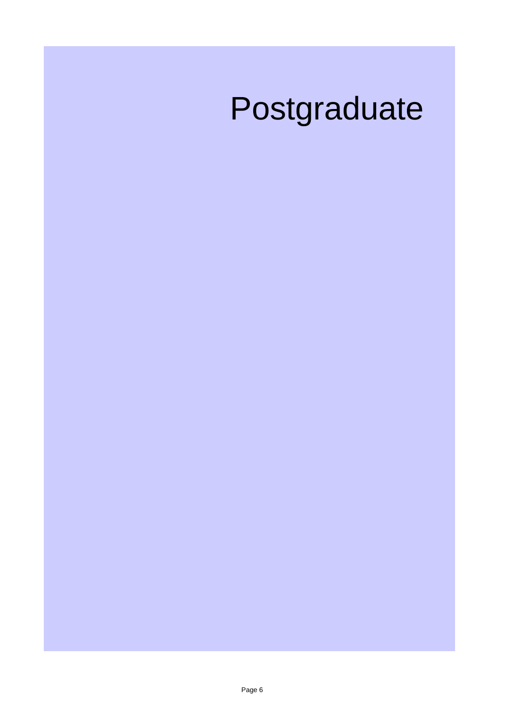# Postgraduate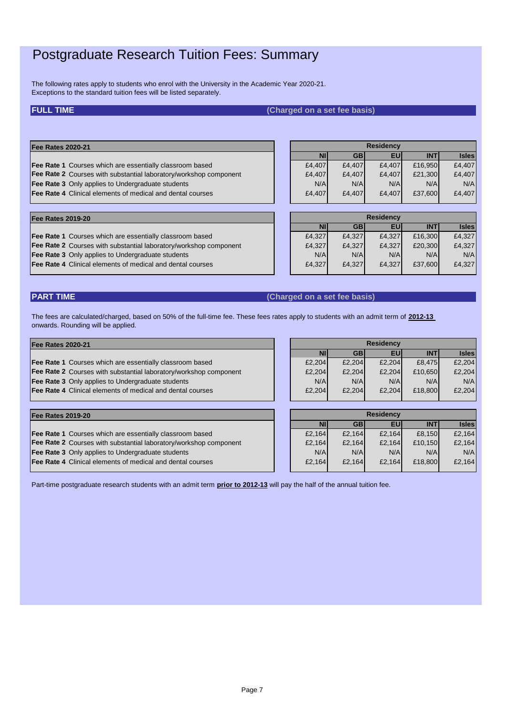### Postgraduate Research Tuition Fees: Summary

The following rates apply to students who enrol with the University in the Academic Year 2020-21. Exceptions to the standard tuition fees will be listed separately.

#### **FULL TIME (Charged on a set fee basis)**

#### **Fee Rates 2020-21**

- **Fee Rate 1** Courses which are essentially classroom based Fee Rate 3 Only applies to Undergraduate students
- **Fee Rate 4** Clinical elements of medical and dental courses

| Fee Rates 2020-21                                                 |        |           | <b>Residency</b> |            |              |
|-------------------------------------------------------------------|--------|-----------|------------------|------------|--------------|
|                                                                   |        | <b>GB</b> | EU               | <b>INT</b> | <b>Isles</b> |
| Fee Rate 1 Courses which are essentially classroom based          | £4,407 | £4,407    | £4,407           | £16,950    | £4,407       |
| Fee Rate 2 Courses with substantial laboratory/workshop component | £4,407 | £4,407    | £4,407           | £21,300    | £4,407       |
| Fee Rate 3 Only applies to Undergraduate students                 | N/A    | N/A       | N/A              | N/A        | N/A          |
| Fee Rate 4 Clinical elements of medical and dental courses        | £4,407 | £4.407    | £4,407           | £37,600    | £4,407       |
|                                                                   |        |           |                  |            |              |

#### **Fee Rates 2019-20**

- Fee Rate 1 Courses which are essentially classroom based
- **Fee Rate 2** Courses with substantial laboratory/workshop component  $\qquad \qquad$  [24,327] £4,327 £4,327 £20,300 £4,327
- **Fee Rate 3** Only applies to Undergraduate students
- Fee Rate 4 Clinical elements of medical and dental courses

| <b>Residency</b> |           |        |            |              |  |  |  |  |
|------------------|-----------|--------|------------|--------------|--|--|--|--|
| ΝI               | <b>GB</b> | EU'    | <b>INT</b> | <b>Isles</b> |  |  |  |  |
| £4,327           | £4,327    | £4,327 | £16,300    | £4,327       |  |  |  |  |
| £4,327           | £4,327    | £4,327 | £20,300    | £4,327       |  |  |  |  |
| N/A              | N/A       | N/A    | N/A        | N/A          |  |  |  |  |
| £4,327           | £4,327    | £4,327 | £37,600    | £4,327       |  |  |  |  |
|                  |           |        |            |              |  |  |  |  |

### **PART TIME (Charged on a set fee basis)**

The fees are calculated/charged, based on 50% of the full-time fee. These fees rates apply to students with an admit term of **2012-13**  onwards. Rounding will be applied.

| <b>Fee Rates 2020-21</b> |  |
|--------------------------|--|
|--------------------------|--|

Fee Rate 1 Courses which are essentially classroom based **Fee Rate 2** Courses with substantial laboratory/workshop component  $\qquad \qquad$  | E2,204 E2,204 E2,204 E10,650 E2,204 **Fee Rate 3** Only applies to Undergraduate students Fee Rate 4 Clinical elements of medical and dental courses

| <b>Residency</b> |           |        |            |              |  |  |  |  |
|------------------|-----------|--------|------------|--------------|--|--|--|--|
| <b>NI</b>        | <b>GB</b> | ΕU     | <b>INT</b> | <b>Isles</b> |  |  |  |  |
| £2,204           | £2,204    | £2,204 | £8,475     | £2,204       |  |  |  |  |
| £2,204           | £2,204    | £2,204 | £10,650    | £2,204       |  |  |  |  |
| N/A              | N/A       | N/A    | N/A        | N/A          |  |  |  |  |
| £2,204           | £2,204    | £2,204 | £18,800    | £2,204       |  |  |  |  |

#### **Fee Rates 2019-20**

**Fee Rate 1** Courses which are essentially classroom based

- **Fee Rate 2** Courses with substantial laboratory/workshop component  $\qquad \qquad$  | E2,164 E2,164 E2,164 E10,150 E2,164
- **Fee Rate 3** Only applies to Undergraduate students Network Connection NVA N/A N/A N/A N/A N/A N/A N/A N/A
- **Fee Rate 4** Clinical elements of medical and dental courses **1998 E2,164 E2,164 E2,164 E2,164 E18,800 E2,164**

|                  | £2,204    | £2,204 | £2,204    | £10,650    | £2,204       |  |  |  |  |
|------------------|-----------|--------|-----------|------------|--------------|--|--|--|--|
|                  | N/A       | N/A    | N/A       | N/A        | N/A          |  |  |  |  |
|                  | £2,204    | £2,204 | £2,204    | £18,800    | £2,204       |  |  |  |  |
|                  |           |        |           |            |              |  |  |  |  |
|                  |           |        |           |            |              |  |  |  |  |
| <b>Residency</b> |           |        |           |            |              |  |  |  |  |
|                  | <b>NI</b> | GB     | <b>EU</b> | <b>INT</b> | <b>Isles</b> |  |  |  |  |
|                  |           |        |           |            |              |  |  |  |  |

Part-time postgraduate research students with an admit term **prior to 2012-13** will pay the half of the annual tuition fee.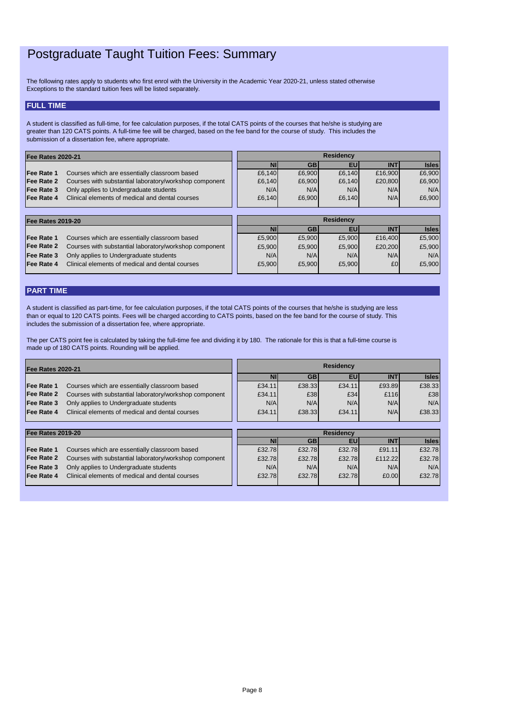### Postgraduate Taught Tuition Fees: Summary

### **FULL TIME**

| <u>IFEE NAICS ZUIJ-ZU</u> |                                                        |           |           | --------- |            |              |
|---------------------------|--------------------------------------------------------|-----------|-----------|-----------|------------|--------------|
|                           |                                                        | <b>NI</b> | <b>GB</b> | EUI       | <b>INT</b> | <b>Isles</b> |
| <b>Fee Rate 1</b>         | Courses which are essentially classroom based          | £5,900    | £5,900    | £5,900    | £16,400    | £5,900       |
| <b>Fee Rate 2</b>         | Courses with substantial laboratory/workshop component | £5,900    | £5,900    | £5,900    | £20,200    | £5,900       |
| <b>Fee Rate 3</b>         | Only applies to Undergraduate students                 | N/A       | N/AI      | N/A       | N/A        | N/A          |
| <b>Fee Rate 4</b>         | Clinical elements of medical and dental courses        | £5,900    | £5,900    | £5,900    | £0         | £5,900       |
|                           |                                                        |           |           |           |            |              |

### **PART TIME**

| <b>Fee Rates 2020-21</b> |                                                        | <b>Residency</b> |           |           |            |              |
|--------------------------|--------------------------------------------------------|------------------|-----------|-----------|------------|--------------|
|                          |                                                        | Nľ               | <b>GB</b> | <b>EU</b> | <b>INT</b> | <b>Isles</b> |
| <b>Fee Rate 1</b>        | Courses which are essentially classroom based          | £6,140           | £6,900    | £6,140    | £16,900    | £6,900       |
| <b>Fee Rate 2</b>        | Courses with substantial laboratory/workshop component | £6,140           | £6,900    | £6,140    | £20,800    | £6,900       |
| <b>Fee Rate 3</b>        | Only applies to Undergraduate students                 | N/A              | N/A       | N/A       | N/A        | N/A          |
| <b>Fee Rate 4</b>        | Clinical elements of medical and dental courses        | £6,140           | £6,900    | £6,140    | N/A        | £6,900       |
|                          |                                                        |                  |           |           |            |              |
|                          | <b>Residency</b><br><b>Fee Rates 2019-20</b>           |                  |           |           |            |              |

| <b>Fee Rates 2020-21</b> |                                                        | <b>Residency</b> |            |           |            |              |
|--------------------------|--------------------------------------------------------|------------------|------------|-----------|------------|--------------|
|                          |                                                        | <b>NI</b>        | <b>GB</b>  | <b>EU</b> | <b>INT</b> | <b>Isles</b> |
| <b>Fee Rate 1</b>        | Courses which are essentially classroom based          | £34.11           | £38.33     | £34.11    | £93.89     | £38.33       |
| <b>Fee Rate 2</b>        | Courses with substantial laboratory/workshop component | £34.11           | £38        | E34       | £116       | £38          |
| <b>Fee Rate 3</b>        | Only applies to Undergraduate students                 | N/A              | N/A        | N/A       | N/A        | N/A          |
| <b>Fee Rate 4</b>        | Clinical elements of medical and dental courses        | £34.11           | £38.33     | £34.11    | N/A        | £38.33       |
|                          |                                                        |                  |            |           |            |              |
| <b>Fee Rates 2019-20</b> |                                                        | <b>Residency</b> |            |           |            |              |
|                          |                                                        | <b>NI</b>        | <b>GBI</b> | <b>EU</b> | <b>INT</b> | <b>Isles</b> |
| <b>Fee Rate 1</b>        | Courses which are essentially classroom based          | £32.78           | £32.78     | £32.78    | £91.11     | £32.78       |
| <b>Fee Rate 2</b>        | Courses with substantial laboratory/workshop component | £32.78           | £32.78     | £32.78    | £112.22    | £32.78       |
| <b>Fee Rate 3</b>        | Only applies to Undergraduate students                 | N/A              | N/A        | N/A       | N/A        | N/A          |
| <b>IFee Rate 4</b>       | Clinical elements of medical and dental courses        | £32.78           | £32.78     | £32.78    | £0.00      | £32.78       |

The following rates apply to students who first enrol with the University in the Academic Year 2020-21, unless stated otherwise Exceptions to the standard tuition fees will be listed separately.

A student is classified as full-time, for fee calculation purposes, if the total CATS points of the courses that he/she is studying are greater than 120 CATS points. A full-time fee will be charged, based on the fee band for the course of study. This includes the submission of a dissertation fee, where appropriate.

The per CATS point fee is calculated by taking the full-time fee and dividing it by 180. The rationale for this is that a full-time course is made up of 180 CATS points. Rounding will be applied.

A student is classified as part-time, for fee calculation purposes, if the total CATS points of the courses that he/she is studying are less than or equal to 120 CATS points. Fees will be charged according to CATS points, based on the fee band for the course of study. This includes the submission of a dissertation fee, where appropriate.

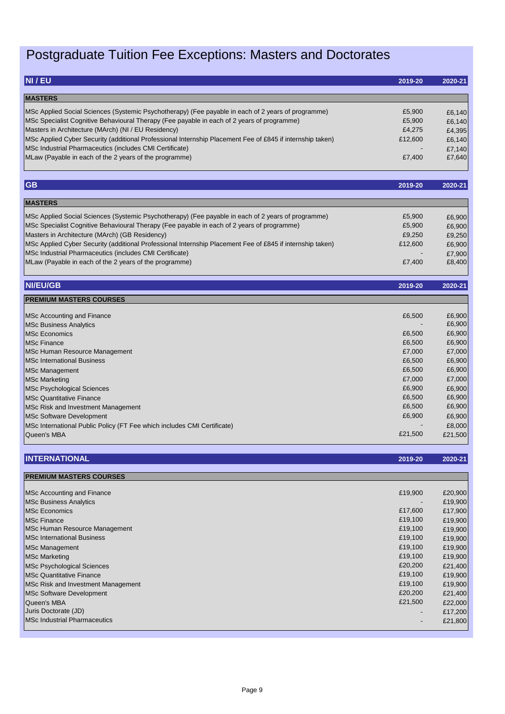# Postgraduate Tuition Fee Exceptions: Masters and Doctorates

| NI / EU                                                                                                   | 2019-20 | 2020-21 |
|-----------------------------------------------------------------------------------------------------------|---------|---------|
| <b>MASTERS</b>                                                                                            |         |         |
| MSc Applied Social Sciences (Systemic Psychotherapy) (Fee payable in each of 2 years of programme)        | £5,900  | £6,140  |
| MSc Specialist Cognitive Behavioural Therapy (Fee payable in each of 2 years of programme)                | £5,900  | £6,140  |
| Masters in Architecture (MArch) (NI / EU Residency)                                                       | £4,275  | £4,395  |
| MSc Applied Cyber Security (additional Professional Internship Placement Fee of £845 if internship taken) | £12,600 | £6,140  |
| MSc Industrial Pharmaceutics (includes CMI Certificate)                                                   |         | £7,140  |
| MLaw (Payable in each of the 2 years of the programme)                                                    | £7,400  | £7,640  |
| <b>GB</b>                                                                                                 | 2019-20 | 2020-21 |
|                                                                                                           |         |         |
| <b>MASTERS</b>                                                                                            |         |         |
| MSc Applied Social Sciences (Systemic Psychotherapy) (Fee payable in each of 2 years of programme)        | £5,900  | £6,900  |
| MSc Specialist Cognitive Behavioural Therapy (Fee payable in each of 2 years of programme)                | £5,900  | £6,900  |
| Masters in Architecture (MArch) (GB Residency)                                                            | £9,250  | £9,250  |
| MSc Applied Cyber Security (additional Professional Internship Placement Fee of £845 if internship taken) | £12,600 | £6,900  |
| MSc Industrial Pharmaceutics (includes CMI Certificate)                                                   |         | £7,900  |
| MLaw (Payable in each of the 2 years of the programme)                                                    | £7,400  | £8,400  |
| <b>NI/EU/GB</b>                                                                                           | 2019-20 | 2020-21 |
| <b>PREMIUM MASTERS COURSES</b>                                                                            |         |         |
| <b>MSc Accounting and Finance</b>                                                                         | £6,500  | £6,900  |
| <b>MSc Business Analytics</b>                                                                             |         | £6,900  |
| <b>MSc Economics</b>                                                                                      | £6,500  | £6,900  |
| <b>MSc Finance</b>                                                                                        | £6,500  | £6,900  |
| <b>MSc Human Resource Management</b>                                                                      | £7,000  | £7,000  |
| <b>MSc International Business</b>                                                                         | £6,500  | £6,900  |
| <b>MSc Management</b>                                                                                     | £6,500  | £6,900  |
| <b>MSc Marketing</b>                                                                                      | £7,000  | £7,000  |
| <b>MSc Psychological Sciences</b>                                                                         | £6,900  | £6,900  |
| <b>MSc Quantitative Finance</b>                                                                           | £6,500  | £6,900  |
| MSc Risk and Investment Management                                                                        | £6,500  | £6,900  |
| <b>MSc Software Development</b>                                                                           | £6,900  | £6,900  |
| MSc International Public Policy (FT Fee which includes CMI Certificate)                                   |         | £8,000  |
| Queen's MBA                                                                                               | £21,500 | £21,500 |
|                                                                                                           |         |         |
| <b>INTERNATIONAL</b>                                                                                      | 2019-20 | 2020-21 |
| <b>PREMIUM MASTERS COURSES</b>                                                                            |         |         |
| <b>MSc Accounting and Finance</b>                                                                         | £19,900 | £20,900 |
| <b>MSc Business Analytics</b>                                                                             |         | £19,900 |
| <b>MSc Economics</b>                                                                                      | £17,600 | £17,900 |
| <b>MSc Finance</b>                                                                                        | £19,100 | £19,900 |
| <b>MSc Human Resource Management</b>                                                                      | £19,100 | £19,900 |
| <b>MSc International Business</b>                                                                         | £19,100 | £19,900 |
| <b>MSc Management</b>                                                                                     | £19,100 | £19,900 |
| <b>MSc Marketing</b>                                                                                      | £19,100 | £19,900 |
| <b>MSc Psychological Sciences</b>                                                                         | £20,200 | £21,400 |
| <b>MSc Quantitative Finance</b>                                                                           | £19,100 | £19,900 |
| MSc Risk and Investment Management                                                                        | £19,100 | £19,900 |
| <b>MSc Software Development</b>                                                                           | £20,200 | £21,400 |
| Queen's MBA                                                                                               | £21,500 | £22,000 |
| Juris Doctorate (JD)                                                                                      |         | £17,200 |
| <b>MSc Industrial Pharmaceutics</b>                                                                       |         | £21,800 |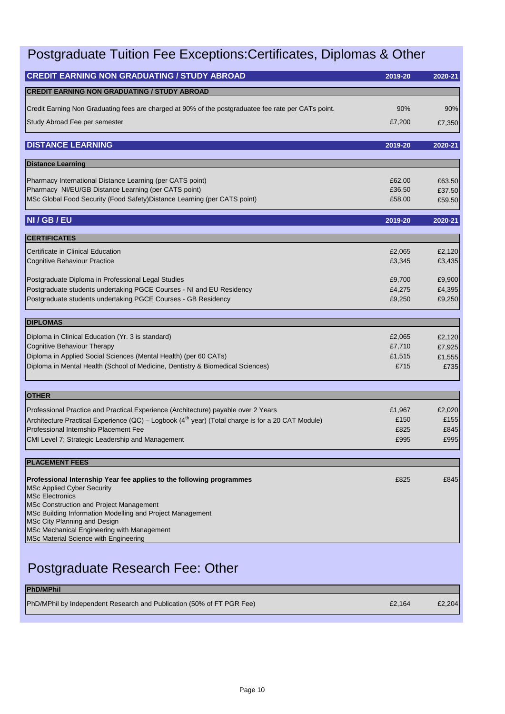### Postgraduate Tuition Fee Exceptions:Certificates, Diplomas & Other

| <b>CREDIT EARNING NON GRADUATING / STUDY ABROAD</b>                                                                                   | 2019-20          | 2020-21          |
|---------------------------------------------------------------------------------------------------------------------------------------|------------------|------------------|
| <b>CREDIT EARNING NON GRADUATING / STUDY ABROAD</b>                                                                                   |                  |                  |
| Credit Earning Non Graduating fees are charged at 90% of the postgraduatee fee rate per CATs point.                                   | 90%              | 90%              |
| Study Abroad Fee per semester                                                                                                         | £7,200           | £7,350           |
| <b>DISTANCE LEARNING</b>                                                                                                              | 2019-20          | 2020-21          |
| <b>Distance Learning</b>                                                                                                              |                  |                  |
| Pharmacy International Distance Learning (per CATS point)                                                                             | £62.00           | £63.50           |
| Pharmacy NI/EU/GB Distance Learning (per CATS point)                                                                                  | £36.50           | £37.50           |
| MSc Global Food Security (Food Safety) Distance Learning (per CATS point)                                                             | £58.00           | £59.50           |
| NI / GB / EU                                                                                                                          | 2019-20          | 2020-21          |
| <b>CERTIFICATES</b>                                                                                                                   |                  |                  |
| Certificate in Clinical Education                                                                                                     | £2,065           | £2,120           |
| <b>Cognitive Behaviour Practice</b>                                                                                                   | £3,345           | £3,435           |
|                                                                                                                                       |                  |                  |
| Postgraduate Diploma in Professional Legal Studies                                                                                    | £9,700           | £9,900           |
| Postgraduate students undertaking PGCE Courses - NI and EU Residency<br>Postgraduate students undertaking PGCE Courses - GB Residency | £4,275<br>£9,250 | £4,395<br>£9,250 |
|                                                                                                                                       |                  |                  |
| <b>DIPLOMAS</b>                                                                                                                       |                  |                  |
| Diploma in Clinical Education (Yr. 3 is standard)                                                                                     | £2,065           | £2,120           |
| Cognitive Behaviour Therapy                                                                                                           | £7,710           | £7,925           |
| Diploma in Applied Social Sciences (Mental Health) (per 60 CATs)                                                                      | £1,515           | £1,555           |
| Diploma in Mental Health (School of Medicine, Dentistry & Biomedical Sciences)                                                        | £715             | £735             |
|                                                                                                                                       |                  |                  |
| <b>OTHER</b>                                                                                                                          |                  |                  |
| Professional Practice and Practical Experience (Architecture) payable over 2 Years                                                    | £1,967           | £2,020           |
| Architecture Practical Experience (QC) – Logbook (4 <sup>th</sup> year) (Total charge is for a 20 CAT Module)                         | £150             | £155             |
| Professional Internship Placement Fee<br>CMI Level 7; Strategic Leadership and Management                                             | £825<br>£995     | £845<br>£995     |
|                                                                                                                                       |                  |                  |
| <b>PLACEMENT FEES</b>                                                                                                                 |                  |                  |
| Professional Internship Year fee applies to the following programmes                                                                  | £825             | £845             |
| <b>MSc Applied Cyber Security</b>                                                                                                     |                  |                  |
| <b>MSc Electronics</b>                                                                                                                |                  |                  |
| MSc Construction and Project Management                                                                                               |                  |                  |
| MSc Building Information Modelling and Project Management<br>MSc City Planning and Design                                             |                  |                  |
| MSc Mechanical Engineering with Management                                                                                            |                  |                  |
| MSc Material Science with Engineering                                                                                                 |                  |                  |
|                                                                                                                                       |                  |                  |

### Postgraduate Research Fee: Other

| <b>PhD/MPhil</b>                                                      |        |        |
|-----------------------------------------------------------------------|--------|--------|
| PhD/MPhil by Independent Research and Publication (50% of FT PGR Fee) | £2.164 | £2,204 |
|                                                                       |        |        |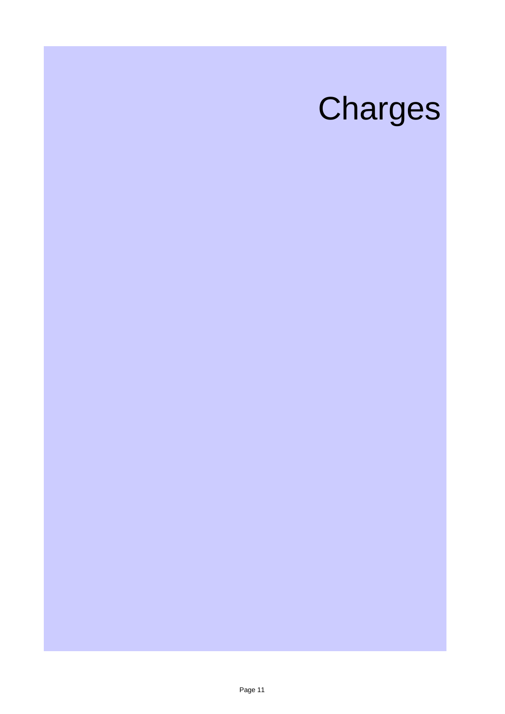# Charges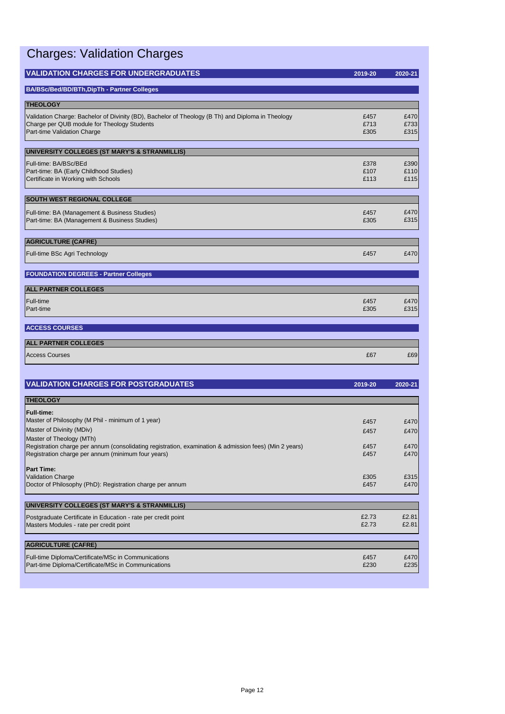|  | <b>Charges: Validation Charges</b> |  |
|--|------------------------------------|--|
|--|------------------------------------|--|

| <b>VALIDATION CHARGES FOR UNDERGRADUATES</b>                                                           | 2019-20      | 2020-21      |
|--------------------------------------------------------------------------------------------------------|--------------|--------------|
| <b>BA/BSc/Bed/BD/BTh,DipTh - Partner Colleges</b>                                                      |              |              |
|                                                                                                        |              |              |
| <b>THEOLOGY</b>                                                                                        |              |              |
| Validation Charge: Bachelor of Divinity (BD), Bachelor of Theology (B Th) and Diploma in Theology      | £457         | £470         |
| Charge per QUB module for Theology Students<br>Part-time Validation Charge                             | £713<br>£305 | £733<br>£315 |
|                                                                                                        |              |              |
| UNIVERSITY COLLEGES (ST MARY'S & STRANMILLIS)                                                          |              |              |
| Full-time: BA/BSc/BEd                                                                                  | £378         | £390         |
| Part-time: BA (Early Childhood Studies)                                                                | £107         | £110         |
| Certificate in Working with Schools                                                                    | £113         | £115         |
| <b>SOUTH WEST REGIONAL COLLEGE</b>                                                                     |              |              |
| Full-time: BA (Management & Business Studies)                                                          | £457         | £470         |
| Part-time: BA (Management & Business Studies)                                                          | £305         | £315         |
|                                                                                                        |              |              |
| <b>AGRICULTURE (CAFRE)</b>                                                                             |              |              |
| Full-time BSc Agri Technology                                                                          | £457         | £470         |
|                                                                                                        |              |              |
| <b>FOUNDATION DEGREES - Partner Colleges</b>                                                           |              |              |
| <b>ALL PARTNER COLLEGES</b>                                                                            |              |              |
| Full-time                                                                                              | £457         | £470         |
| Part-time                                                                                              | £305         | £315         |
|                                                                                                        |              |              |
| <b>ACCESS COURSES</b>                                                                                  |              |              |
| <b>ALL PARTNER COLLEGES</b>                                                                            |              |              |
| <b>Access Courses</b>                                                                                  | £67          | £69          |
|                                                                                                        |              |              |
| <b>VALIDATION CHARGES FOR POSTGRADUATES</b>                                                            | 2019-20      | 2020-21      |
|                                                                                                        |              |              |
| <b>THEOLOGY</b>                                                                                        |              |              |
| <b>Full-time:</b>                                                                                      |              |              |
| Master of Philosophy (M Phil - minimum of 1 year)<br>Master of Divinity (MDiv)                         | £457         | £470         |
| Master of Theology (MTh)                                                                               | £457         | £470         |
| Registration charge per annum (consolidating registration, examination & admission fees) (Min 2 years) | £457         | £470         |
| Registration charge per annum (minimum four years)                                                     | £457         | £470         |

| iFull-time:                                                                                            |       |       |
|--------------------------------------------------------------------------------------------------------|-------|-------|
| Master of Philosophy (M Phil - minimum of 1 year)                                                      | £457  | £470  |
| Master of Divinity (MDiv)                                                                              | £457  | £470  |
| Master of Theology (MTh)                                                                               |       |       |
| Registration charge per annum (consolidating registration, examination & admission fees) (Min 2 years) | £457  | £470  |
| Registration charge per annum (minimum four years)                                                     | £457  | £470  |
|                                                                                                        |       |       |
| <b>Part Time:</b>                                                                                      |       |       |
| Validation Charge                                                                                      | £305  | £315  |
| Doctor of Philosophy (PhD): Registration charge per annum                                              | £457  | £470  |
|                                                                                                        |       |       |
| UNIVERSITY COLLEGES (ST MARY'S & STRANMILLIS)                                                          |       |       |
| Postgraduate Certificate in Education - rate per credit point                                          | £2.73 | £2.81 |
| Masters Modules - rate per credit point                                                                | £2.73 | £2.81 |
|                                                                                                        |       |       |
| <b>AGRICULTURE (CAFRE)</b>                                                                             |       |       |
|                                                                                                        |       |       |

| Full-time Diploma/Certificate/MSc in Communications | £457 | £470I |
|-----------------------------------------------------|------|-------|
| Part-time Diploma/Certificate/MSc in Communications | £230 | £235  |
|                                                     |      |       |